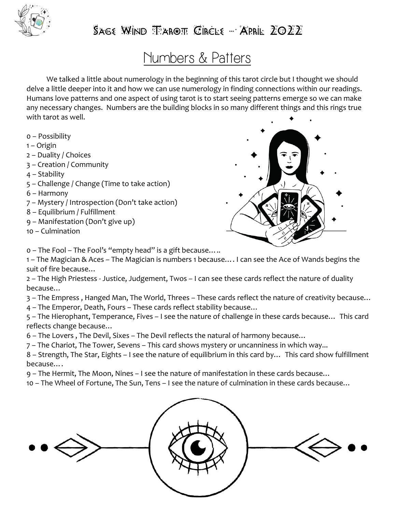

### $S$ age Wind Tarot Circle – April  $Z$ 022

## Numbers & Patters

We talked a little about numerology in the beginning of this tarot circle but I thought we should delve a little deeper into it and how we can use numerology in finding connections within our readings. Humans love patterns and one aspect of using tarot is to start seeing patterns emerge so we can make any necessary changes. Numbers are the building blocks in so many different things and this rings true with tarot as well.

- 0 Possibility
- 1 Origin
- 2 Duality / Choices
- 3 Creation / Community
- 4 Stability
- 5 Challenge / Change (Time to take action)
- 6 Harmony
- 7 Mystery / Introspection (Don't take action)
- 8 Equilibrium / Fulfillment
- 9 Manifestation (Don't give up)
- 10 Culmination



0 – The Fool – The Fool's "empty head" is a gift because…..

1 – The Magician & Aces – The Magician is numbers 1 because…. I can see the Ace of Wands begins the suit of fire because…

2 – The High Priestess - Justice, Judgement, Twos – I can see these cards reflect the nature of duality because…

3 – The Empress , Hanged Man, The World, Threes – These cards reflect the nature of creativity because…

4 – The Emperor, Death, Fours – These cards reflect stability because…

5 – The Hierophant, Temperance, Fives – I see the nature of challenge in these cards because… This card reflects change because…

- 6 The Lovers , The Devil, Sixes The Devil reflects the natural of harmony because…
- 7 The Chariot, The Tower, Sevens This card shows mystery or uncanniness in which way...

8 – Strength, The Star, Eights – I see the nature of equilibrium in this card by… This card show fulfillment because….

9 – The Hermit, The Moon, Nines – I see the nature of manifestation in these cards because…

10 – The Wheel of Fortune, The Sun, Tens – I see the nature of culmination in these cards because…

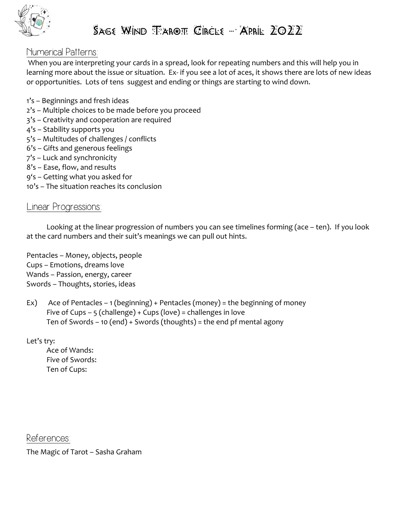

#### Numerical Patterns:

When you are interpreting your cards in a spread, look for repeating numbers and this will help you in learning more about the issue or situation. Ex- if you see a lot of aces, it shows there are lots of new ideas or opportunities. Lots of tens suggest and ending or things are starting to wind down.

- 1's Beginnings and fresh ideas
- 2's Multiple choices to be made before you proceed
- 3's Creativity and cooperation are required
- 4's Stability supports you
- 5's Multitudes of challenges / conflicts
- 6's Gifts and generous feelings
- 7's Luck and synchronicity
- 8's Ease, flow, and results
- 9's Getting what you asked for
- 10's The situation reaches its conclusion

#### Linear Progressions:

Looking at the linear progression of numbers you can see timelines forming (ace – ten). If you look at the card numbers and their suit's meanings we can pull out hints.

Pentacles – Money, objects, people Cups – Emotions, dreams love Wands – Passion, energy, career Swords – Thoughts, stories, ideas

Ex) Ace of Pentacles – 1 (beginning) + Pentacles (money) = the beginning of money Five of Cups – 5 (challenge) + Cups (love) = challenges in love Ten of Swords – 10 (end) + Swords (thoughts) = the end pf mental agony

Let's try:

Ace of Wands: Five of Swords: Ten of Cups:

References:

The Magic of Tarot – Sasha Graham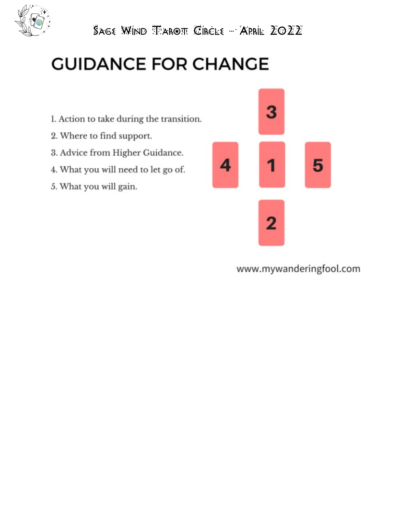

SAGE WIND TAROT CIRCLE - APRIL 2022

# **GUIDANCE FOR CHANGE**

- 1. Action to take during the transition.
- 2. Where to find support.
- 3. Advice from Higher Guidance.
- 4. What you will need to let go of.
- 5. What you will gain.



www.mywanderingfool.com